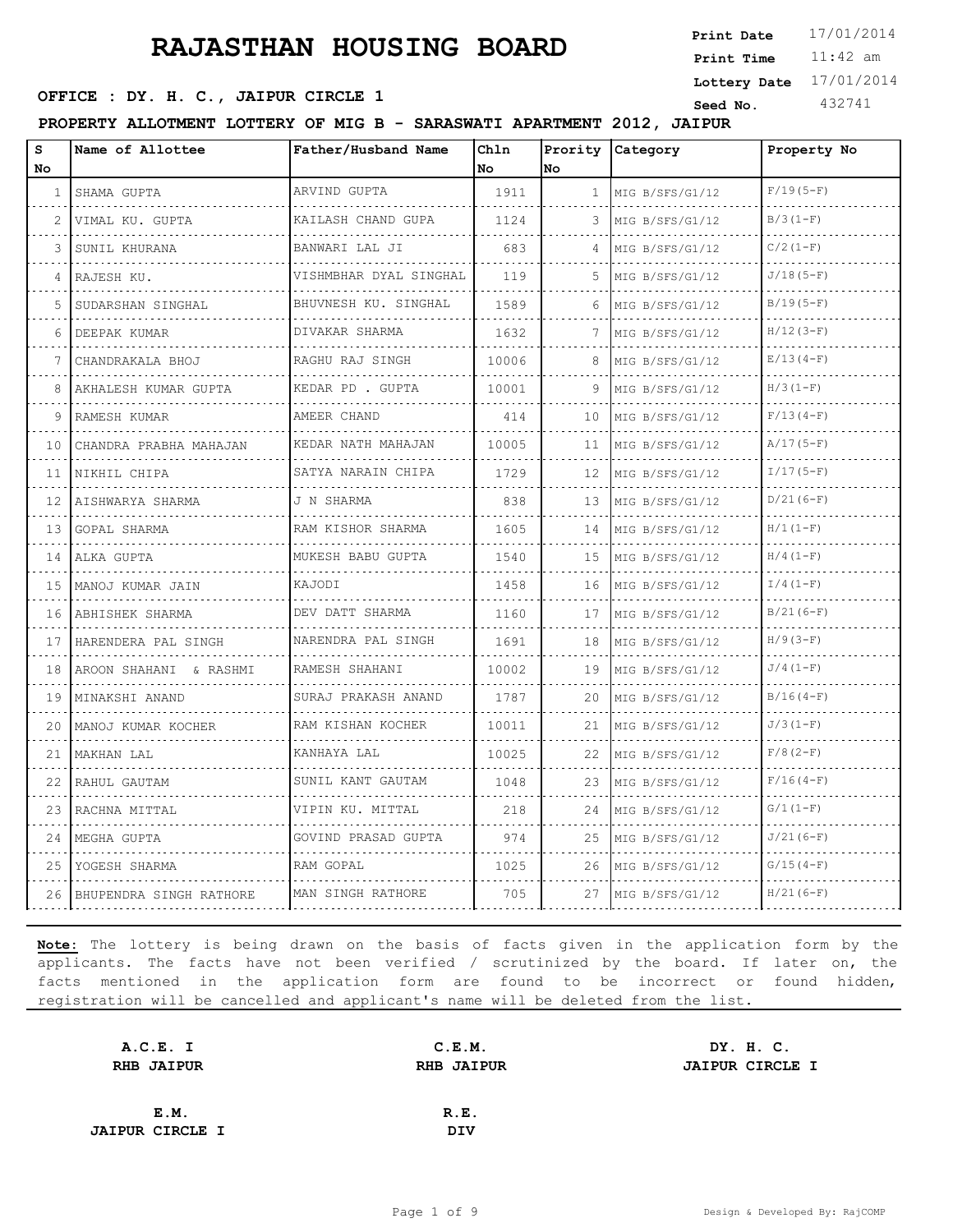11:42 am **Print Time Print Date**  $17/01/2014$ **SEED OFFICE : DY. H. C., JAIPUR CIRCLE 1 Seed No.** 432741 **Lottery Date** 17/01/2014

**PROPERTY ALLOTMENT LOTTERY OF MIG B - SARASWATI APARTMENT 2012, JAIPUR**

| s<br>No       | Name of Allottee        | Father/Husband Name      | Ch1n<br>l No | Prority<br>No. | Category             | Property No |
|---------------|-------------------------|--------------------------|--------------|----------------|----------------------|-------------|
| 1             | SHAMA GUPTA             | ARVIND GUPTA             | 1911         | $\mathbf{1}$   | MIG B/SFS/G1/12      | $F/19(5-F)$ |
| $\mathcal{L}$ | .<br>VIMAL KU. GUPTA    | KAILASH CHAND GUPA       | 1124         | 3              | .<br>MIG B/SFS/G1/12 | $B/3(1-F)$  |
| 3             | SUNIL KHURANA           | BANWARI LAL JI           | 683          | 4              | MIG B/SFS/G1/12      | $C/2 (1-F)$ |
| 4             | RAJESH KU.              | VISHMBHAR DYAL SINGHAL   | 119          | .5.            | MIG B/SFS/G1/12      | $J/18(5-F)$ |
| 5             | SUDARSHAN SINGHAL       | BHUVNESH KU. SINGHAL     | 1589         | 6              | MIG B/SFS/G1/12      | $B/19(5-F)$ |
| 6             | DEEPAK KUMAR            | .<br>DIVAKAR SHARMA      | 1632         | 7              | MIG B/SFS/G1/12      | $H/12(3-F)$ |
| 7             | CHANDRAKALA BHOJ        | RAGHU RAJ SINGH          | 10006        | 8              | MIG B/SFS/G1/12      | $E/13(4-F)$ |
| 8             | AKHALESH KUMAR GUPTA    | .<br>KEDAR PD . GUPTA    | 10001        | 9              | MIG B/SFS/G1/12      | $H/3(1-F)$  |
| 9             | RAMESH KUMAR            | AMEER CHAND              | 414          | 10             | MIG B/SFS/G1/12      | $F/13(4-F)$ |
| 10            | CHANDRA PRABHA MAHAJAN  | KEDAR NATH MAHAJAN       | 10005        | 11             | MIG B/SFS/G1/12      | $A/17(5-F)$ |
| 11            | NIKHIL CHIPA            | SATYA NARAIN CHIPA<br>.  | 1729         | $12 \,$        | MIG B/SFS/G1/12      | $I/17(5-F)$ |
| 12.           | AISHWARYA SHARMA        | J N SHARMA               | 838          | 13             | MIG B/SFS/G1/12      | $D/21(6-F)$ |
| 13            | GOPAL SHARMA<br>.       | RAM KISHOR SHARMA<br>.   | 1605         | 14             | MIG B/SFS/G1/12<br>. | $H/1 (1-F)$ |
| 14            | ALKA GUPTA              | MUKESH BABU GUPTA        | 1540         | 15             | MIG B/SFS/G1/12      | $H/4(1-F)$  |
| 15            | MANOJ KUMAR JAIN        | KAJODI                   | 1458         | 16             | MIG B/SFS/G1/12      | $I/4(1-F)$  |
| 16            | ABHISHEK SHARMA         | DEV DATT SHARMA<br>.     | 1160         | 17             | MIG B/SFS/G1/12      | $B/21(6-F)$ |
| 17            | HARENDERA PAL SINGH     | NARENDRA PAL SINGH       | 1691         | 18             | MIG B/SFS/G1/12      | $H/9(3-F)$  |
| 18            | AROON SHAHANI & RASHMI  | RAMESH SHAHANI           | 10002        | 19             | MIG B/SFS/G1/12      | $J/4(1-F)$  |
| 19            | MINAKSHI ANAND<br>.     | SURAJ PRAKASH ANAND<br>. | 1787         | 20             | MIG B/SFS/G1/12<br>. | $B/16(4-F)$ |
| 20            | MANOJ KUMAR KOCHER      | RAM KISHAN KOCHER<br>.   | 10011        | 21             | MIG B/SFS/G1/12      | $J/3(1-F)$  |
| 21            | MAKHAN LAL              | KANHAYA LAL              | 10025        | 22             | MIG B/SFS/G1/12      | $F/8(2-F)$  |
| 22            | RAHUL GAUTAM            | SUNIL KANT GAUTAM        | 1048         | 23             | MIG B/SFS/G1/12      | $F/16(4-F)$ |
| 23            | RACHNA MITTAL           | .<br>VIPIN KU. MITTAL    | 218          | 24             | MIG B/SFS/G1/12      | $G/1(1-F)$  |
| 24            | MEGHA GUPTA             | GOVIND PRASAD GUPTA      | 974          | 25             | MIG B/SFS/G1/12      | $J/21(6-F)$ |
| 25            | YOGESH SHARMA           | RAM GOPAL                | 1025         | 26             | MIG B/SFS/G1/12      | $G/15(4-F)$ |
| 26            | BHUPENDRA SINGH RATHORE | MAN SINGH RATHORE        | 705          | 27             | MIG B/SFS/G1/12      | $H/21(6-F)$ |

| A.C.E. I               | C.E.M.            | DY. H. C.              |
|------------------------|-------------------|------------------------|
| <b>RHB JAIPUR</b>      | <b>RHB JAIPUR</b> | <b>JAIPUR CIRCLE I</b> |
|                        |                   |                        |
| E.M.                   | R.E.              |                        |
| <b>JAIPUR CIRCLE I</b> | <b>DIV</b>        |                        |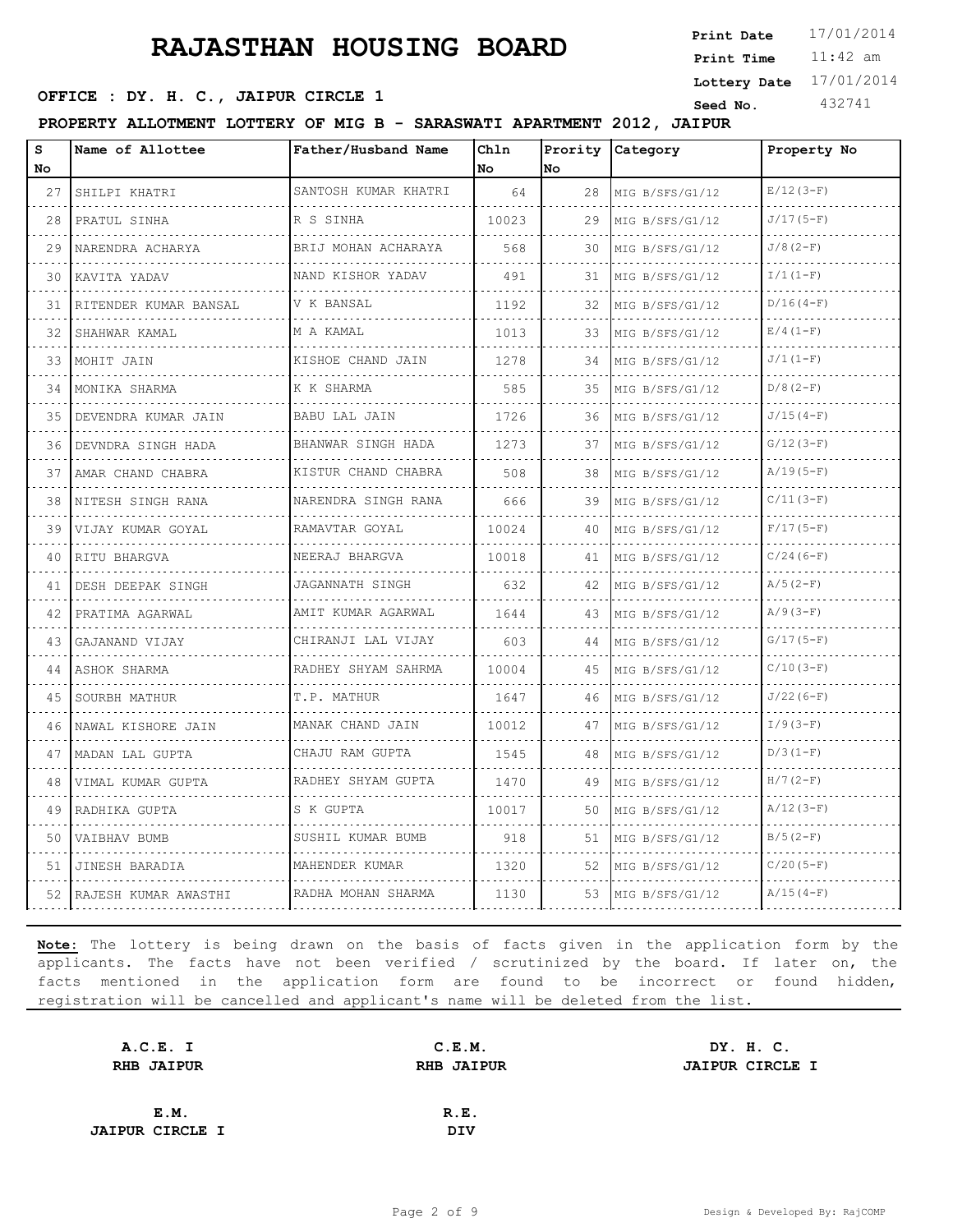11:42 am **Print Time Print Date**  $17/01/2014$ **SEED OFFICE : DY. H. C., JAIPUR CIRCLE 1 Seed No.** 432741 **Lottery Date** 17/01/2014

**PROPERTY ALLOTMENT LOTTERY OF MIG B - SARASWATI APARTMENT 2012, JAIPUR**

| S<br>No | Name of Allottee      | Father/Husband Name        | Chln<br>No | Prority<br>lno. | Category             | Property No  |
|---------|-----------------------|----------------------------|------------|-----------------|----------------------|--------------|
| 27      | SHILPI KHATRI         | SANTOSH KUMAR KHATRI       | 64         | 28              | MIG B/SFS/G1/12      | $E/12(3-F)$  |
| .<br>28 | .<br>PRATUL SINHA     | R S SINHA                  | 10023      | 29              | .<br>MIG B/SFS/G1/12 | $J/17(5-F)$  |
| 29      | NARENDRA ACHARYA      | BRIJ MOHAN ACHARAYA        | 568        | 30              | MIG B/SFS/G1/12      | $J/8(2-F)$   |
| 30      | KAVITA YADAV          | NAND KISHOR YADAV          | 491        | 31              | MIG B/SFS/G1/12      | $I/1 (1-F)$  |
| 31      | RITENDER KUMAR BANSAL | V K BANSAL                 | 1192       | 32              | MIG B/SFS/G1/12      | $D/16(4-F)$  |
| 32      | SHAHWAR KAMAL         | M A KAMAL                  | 1013       | 33              | MIG B/SFS/G1/12      | $E/4(1-F)$   |
| 33      | MOHIT JAIN            | KISHOE CHAND JAIN          | 1278       | 34              | MIG B/SFS/G1/12      | $J/1 (1-F)$  |
| 34      | MONIKA SHARMA         | K K SHARMA                 | 585        | 35              | MIG B/SFS/G1/12      | $D/8(2-F)$   |
| 35      | DEVENDRA KUMAR JAIN   | <b>BABU LAL JAIN</b>       | 1726       | 36              | MIG B/SFS/G1/12      | $J/15(4-F)$  |
| 36      | DEVNDRA SINGH HADA    | BHANWAR SINGH HADA         | 1273       | 37              | MIG B/SFS/G1/12      | $G/12(3-F)$  |
| 37      | AMAR CHAND CHABRA     | KISTUR CHAND CHABRA        | 508        | 38              | MIG B/SFS/G1/12      | $A/19(5-F)$  |
| 38      | NITESH SINGH RANA     | NARENDRA SINGH RANA        | 666        | 39              | MIG B/SFS/G1/12      | $C/11(3-F)$  |
| 39      | VIJAY KUMAR GOYAL     | RAMAVTAR GOYAL             | 10024      | 40              | MIG B/SFS/G1/12      | $F/17(5-F)$  |
| 40      | RITU BHARGVA          | <u>.</u><br>NEERAJ BHARGVA | 10018      | 41              | MIG B/SFS/G1/12      | $C/24(6-F)$  |
| 41      | DESH DEEPAK SINGH     | JAGANNATH SINGH            | 632        | 42              | MIG B/SFS/G1/12      | $A/5(2-F)$   |
| 42      | PRATIMA AGARWAL       | AMIT KUMAR AGARWAL         | 1644       | 43              | MIG B/SFS/G1/12      | $A/9(3-F)$   |
| 43      | GAJANAND VIJAY        | CHIRANJI LAL VIJAY         | 603        | 44              | MIG B/SFS/G1/12      | $G/17(5-F)$  |
| 44      | ASHOK SHARMA          | RADHEY SHYAM SAHRMA        | 10004      | 45              | MIG B/SFS/G1/12      | $C/10(3-F)$  |
| 45      | SOURBH MATHUR         | T.P. MATHUR                | 1647       | 46              | MIG B/SFS/G1/12      | $J/22(6-F)$  |
| 46      | NAWAL KISHORE JAIN    | MANAK CHAND JAIN           | 10012      | 47              | MIG B/SFS/G1/12      | $I/9(3-F)$   |
| 47      | MADAN LAL GUPTA       | CHAJU RAM GUPTA<br>.       | 1545       | 48              | MIG B/SFS/G1/12      | $D/3 (1-F)$  |
| 48      | VIMAL KUMAR GUPTA     | RADHEY SHYAM GUPTA         | 1470       | 49              | MIG B/SFS/G1/12      | $H/7(2-F)$   |
| 49      | RADHIKA GUPTA         | S K GUPTA                  | 10017      | 50              | MIG B/SFS/G1/12      | $A/12(3-F)$  |
| 50      | VAIBHAV BUMB          | SUSHIL KUMAR BUMB          | 918        | 51              | MIG B/SFS/G1/12      | $B/5(2-F)$   |
| 51      | JINESH BARADIA        | MAHENDER KUMAR             | 1320       | 52              | MIG B/SFS/G1/12      | $C/20 (5-F)$ |
| 52      | RAJESH KUMAR AWASTHI  | RADHA MOHAN SHARMA         | 1130       | 53              | MIG B/SFS/G1/12      | $A/15(4-F)$  |

| A.C.E. I               | C.E.M.                                      | DY. H. C. |  |
|------------------------|---------------------------------------------|-----------|--|
| <b>RHB JAIPUR</b>      | <b>RHB JAIPUR</b><br><b>JAIPUR CIRCLE I</b> |           |  |
|                        |                                             |           |  |
| E.M.                   | R.E.                                        |           |  |
| <b>JAIPUR CIRCLE I</b> | DIV                                         |           |  |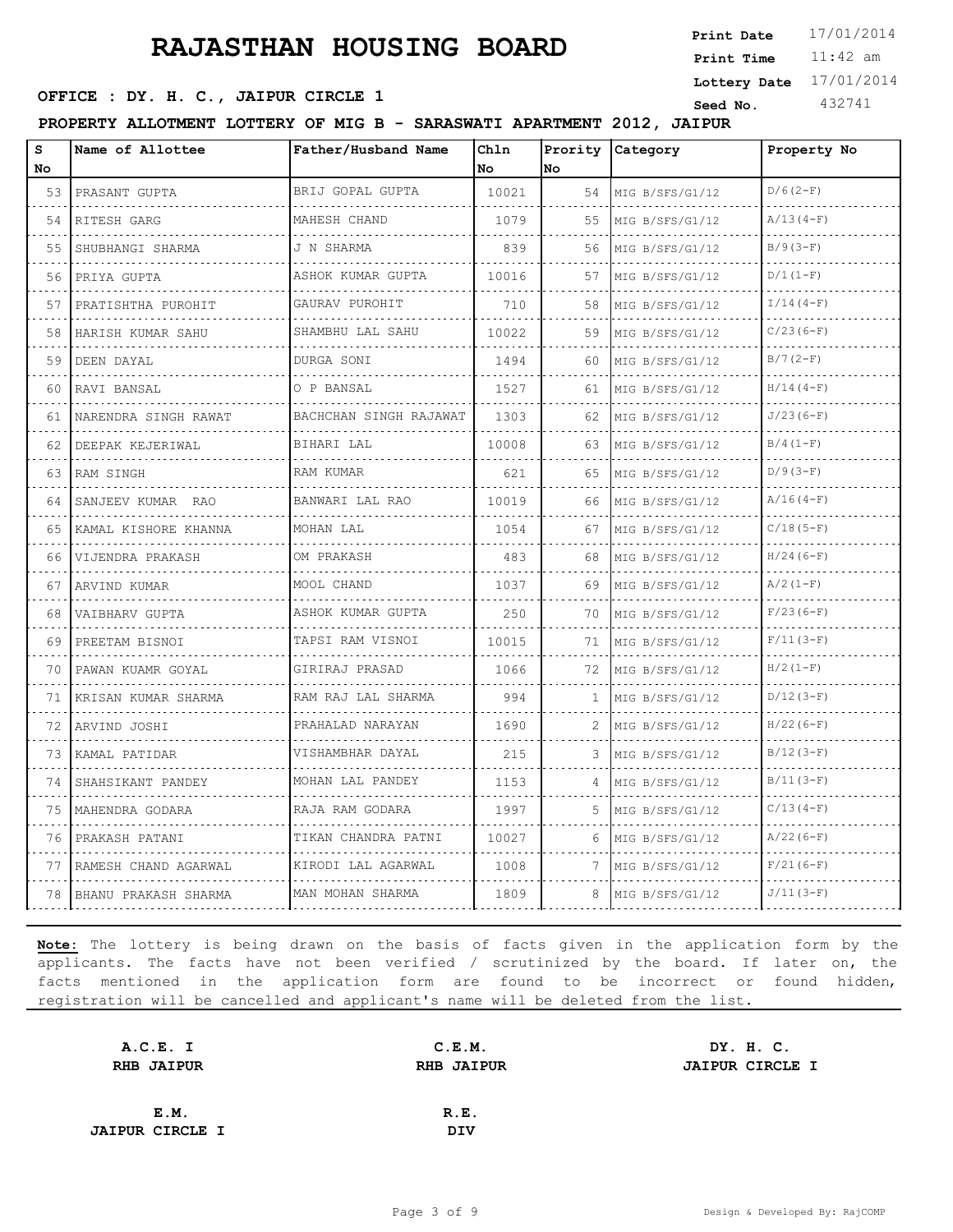11:42 am **Print Time Print Date**  $17/01/2014$ **SEED OFFICE : DY. H. C., JAIPUR CIRCLE 1 Seed No.** 432741 **Lottery Date** 17/01/2014

**PROPERTY ALLOTMENT LOTTERY OF MIG B - SARASWATI APARTMENT 2012, JAIPUR**

| S<br>No | Name of Allottee                         | Father/Husband Name     | Chln<br>No | Prority<br>No | Category             | Property No |
|---------|------------------------------------------|-------------------------|------------|---------------|----------------------|-------------|
| 53      | PRASANT GUPTA                            | BRIJ GOPAL GUPTA<br>.   | 10021      | 54            | MIG B/SFS/G1/12<br>. | $D/6(2-F)$  |
| .<br>54 | RITESH GARG                              | MAHESH CHAND            | 1079       | 55            | MIG B/SFS/G1/12      | $A/13(4-F)$ |
| 55      | SHUBHANGI SHARMA                         | J N SHARMA              | 839        | 56            | MIG B/SFS/G1/12      | $B/9(3-F)$  |
| 56      | PRIYA GUPTA                              | ASHOK KUMAR GUPTA<br>.  | 10016      | 57            | MIG B/SFS/G1/12      | $D/1 (1-F)$ |
| 57      | PRATISHTHA PUROHIT                       | GAURAV PUROHIT          | 710        | 58            | MIG B/SFS/G1/12      | $I/14(4-F)$ |
| 58      | HARISH KUMAR SAHU                        | .<br>SHAMBHU LAL SAHU   | 10022      | 59            | MIG B/SFS/G1/12      | $C/23(6-F)$ |
| 59      | DEEN DAYAL                               | DURGA SONI<br>.         | 1494       | 60            | MIG B/SFS/G1/12      | $B/7(2-F)$  |
| 60      | المتواط والمتواط والمتواط<br>RAVI BANSAL | O P BANSAL              | 1527       | 61            | MIG B/SFS/G1/12      | $H/14(4-F)$ |
| 61      | NARENDRA SINGH RAWAT                     | BACHCHAN SINGH RAJAWAT  | 1303       | 62            | MIG B/SFS/G1/12      | $J/23(6-F)$ |
| 62      | DEEPAK KEJERIWAL                         | BIHARI LAL              | 10008      | 63            | MIG B/SFS/G1/12      | $B/4(1-F)$  |
| 63      | RAM SINGH                                | RAM KUMAR               | 621        | 65            | MIG B/SFS/G1/12      | $D/9(3-F)$  |
| 64      | SANJEEV KUMAR RAO                        | BANWARI LAL RAO         | 10019      | 66            | MIG B/SFS/G1/12      | $A/16(4-F)$ |
| 65      | KAMAL KISHORE KHANNA                     | MOHAN LAL               | 1054       | 67            | MIG B/SFS/G1/12<br>. | $C/18(5-F)$ |
| 66      | VIJENDRA PRAKASH                         | OM PRAKASH              | 483        | 68            | MIG B/SFS/G1/12      | $H/24(6-F)$ |
| 67      | ARVIND KUMAR                             | MOOL CHAND              | 1037       | 69            | MIG B/SFS/G1/12      | $A/2(1-F)$  |
| 68      | VAIBHARV GUPTA                           | ASHOK KUMAR GUPTA<br>.  | 250        | 70            | MIG B/SFS/G1/12      | $F/23(6-F)$ |
| 69      | PREETAM BISNOI                           | TAPSI RAM VISNOI        | 10015      | 71            | .<br>MIG B/SFS/G1/12 | $F/11(3-F)$ |
| 70      | PAWAN KUAMR GOYAL                        | .<br>GIRIRAJ PRASAD     | 1066       | 72            | MIG B/SFS/G1/12      | $H/2 (1-F)$ |
| 71      | KRISAN KUMAR SHARMA                      | RAM RAJ LAL SHARMA<br>. | 994        | 1.            | MIG B/SFS/G1/12<br>. | $D/12(3-F)$ |
| 72      | ARVIND JOSHI                             | PRAHALAD NARAYAN        | 1690       | 2             | MIG B/SFS/G1/12      | $H/22(6-F)$ |
| 73      | KAMAL PATIDAR                            | .<br>VISHAMBHAR DAYAL   | 215        | 3             | MIG B/SFS/G1/12      | $B/12(3-F)$ |
| 74      | SHAHSIKANT PANDEY                        | MOHAN LAL PANDEY        | 1153       | $\Delta$      | MIG B/SFS/G1/12      | $B/11(3-F)$ |
| 75      | MAHENDRA GODARA                          | RAJA RAM GODARA         | 1997       | 5             | MIG B/SFS/G1/12      | $C/13(4-F)$ |
| 76      | PRAKASH PATANI                           | TIKAN CHANDRA PATNI     | 10027      | 6             | MIG B/SFS/G1/12      | $A/22(6-F)$ |
| 77      | RAMESH CHAND AGARWAL                     | KIRODI LAL AGARWAL      | 1008       | 7             | MIG B/SFS/G1/12      | $F/21(6-F)$ |
| 78      | BHANU PRAKASH SHARMA                     | MAN MOHAN SHARMA        | 1809       | 8             | MIG B/SFS/G1/12      | $J/11(3-F)$ |

| A.C.E. I               | C.E.M.            | DY. H. C.              |
|------------------------|-------------------|------------------------|
| <b>RHB JAIPUR</b>      | <b>RHB JAIPUR</b> | <b>JAIPUR CIRCLE I</b> |
|                        |                   |                        |
| E.M.                   | R.E.              |                        |
| <b>JAIPUR CIRCLE I</b> | <b>DIV</b>        |                        |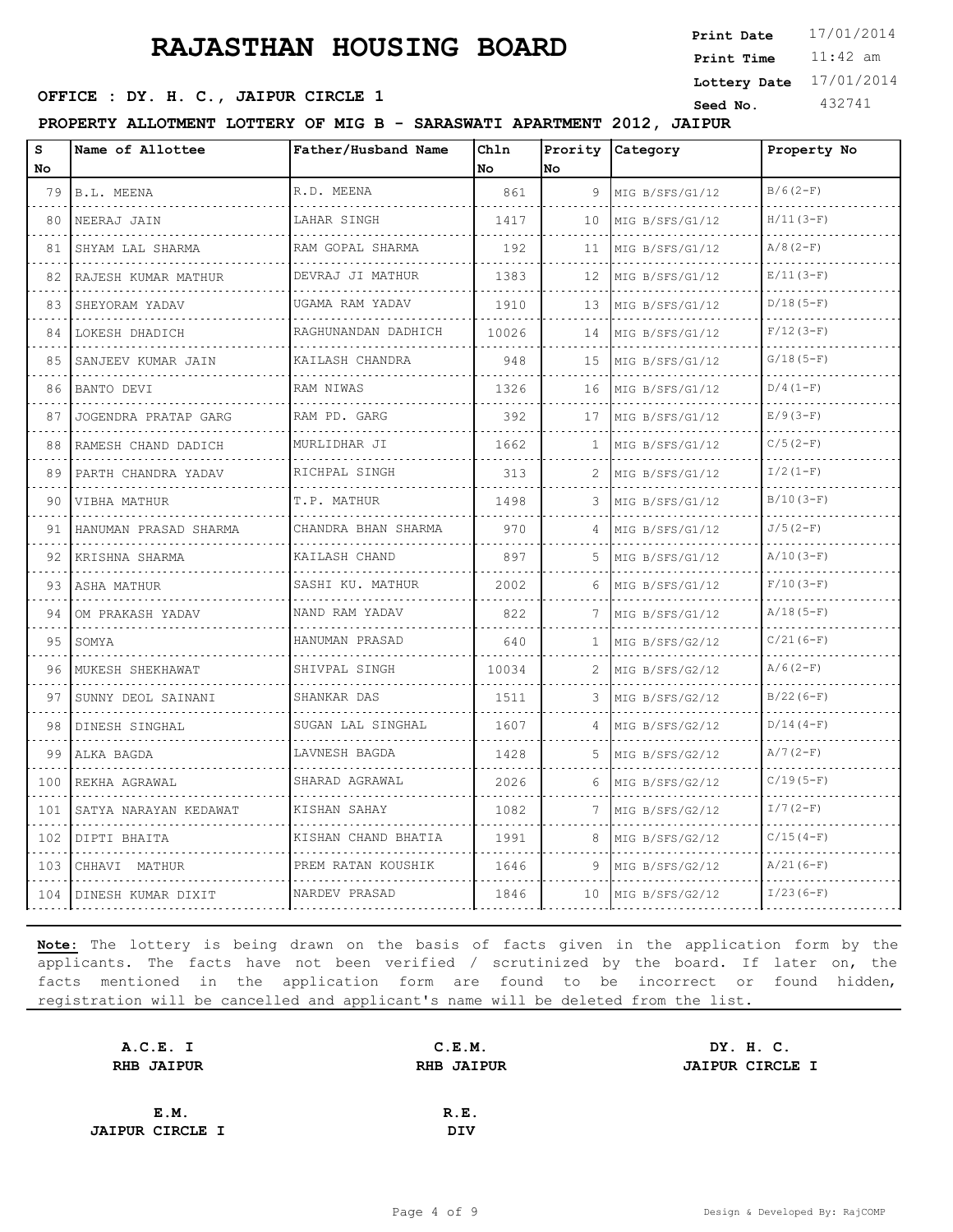11:42 am **Print Time Print Date**  $17/01/2014$ **SEED OFFICE : DY. H. C., JAIPUR CIRCLE 1 Seed No.** 432741 **Lottery Date** 17/01/2014

**PROPERTY ALLOTMENT LOTTERY OF MIG B - SARASWATI APARTMENT 2012, JAIPUR**

| s<br>No | Name of Allottee         | Father/Husband Name                 | Chln<br>l No | Prority<br>No   | Category             | Property No |
|---------|--------------------------|-------------------------------------|--------------|-----------------|----------------------|-------------|
| 79      | B.L. MEENA               | R.D. MEENA                          | 861          | 9               | MIG B/SFS/G1/12      | $B/6(2-F)$  |
| 80      | NEERAJ JAIN              | LAHAR SINGH                         | 1417         | 10              | MIG B/SFS/G1/12      | $H/11(3-F)$ |
| 81      | SHYAM LAL SHARMA         | RAM GOPAL SHARMA                    | 192          | 11              | MIG B/SFS/G1/12      | $A/8(2-F)$  |
| 82      | RAJESH KUMAR MATHUR      | DEVRAJ JI MATHUR                    | 1383         | 12 <sup>°</sup> | MIG B/SFS/G1/12      | $E/11(3-F)$ |
| 83      | SHEYORAM YADAV           | UGAMA RAM YADAV                     | 1910         | 13              | MIG B/SFS/G1/12      | $D/18(5-F)$ |
| 84      | .<br>LOKESH DHADICH      | .<br>RAGHUNANDAN DADHICH<br>.       | 10026        | 14              | .<br>MIG B/SFS/G1/12 | $F/12(3-F)$ |
| 85      | SANJEEV KUMAR JAIN       | KAILASH CHANDRA                     | 948          | 15              | MIG B/SFS/G1/12      | $G/18(5-F)$ |
| 86      | BANTO DEVI               | RAM NIWAS                           | 1326         | 16              | MIG B/SFS/G1/12<br>. | $D/4(1-F)$  |
| 87      | JOGENDRA PRATAP GARG     | RAM PD. GARG                        | 392          | 17              | MIG B/SFS/G1/12      | $E/9(3-F)$  |
| 88      | RAMESH CHAND DADICH      | MURLIDHAR JI<br>.                   | 1662         | 1               | MIG B/SFS/G1/12      | $C/5(2-F)$  |
| 89      | .<br>PARTH CHANDRA YADAV | RICHPAL SINGH                       | 313          | 2               | MIG B/SFS/G1/12      | $I/2(1-F)$  |
| 90      | VIBHA MATHUR             | T.P. MATHUR                         | 1498         | 3.              | MIG B/SFS/G1/12      | $B/10(3-F)$ |
| 91      | HANUMAN PRASAD SHARMA    | CHANDRA BHAN SHARMA<br>. <i>. .</i> | 970          | $\Delta$        | MIG B/SFS/G1/12      | $J/5(2-F)$  |
| 92      | KRISHNA SHARMA<br>.      | KAILASH CHAND                       | 897          | 5.              | MIG B/SFS/G1/12      | $A/10(3-F)$ |
| 93      | ASHA MATHUR              | SASHI KU. MATHUR                    | 2002         | 6               | MIG B/SFS/G1/12      | $F/10(3-F)$ |
| 94      | OM PRAKASH YADAV         | NAND RAM YADAV<br>.                 | 822          | 7               | MIG B/SFS/G1/12      | $A/18(5-F)$ |
| 95      | SOMYA                    | HANUMAN PRASAD                      | 640          | $\mathbf{1}$    | MIG B/SFS/G2/12      | $C/21(6-F)$ |
| 96      | MUKESH SHEKHAWAT         | SHIVPAL SINGH                       | 10034        | 2               | MIG B/SFS/G2/12      | $A/6(2-F)$  |
| 97      | SUNNY DEOL SAINANI       | SHANKAR DAS<br>.                    | 1511         | 3               | MIG B/SFS/G2/12<br>. | $B/22(6-F)$ |
| 98      | DINESH SINGHAL           | SUGAN LAL SINGHAL                   | 1607         | 4               | MIG B/SFS/G2/12      | $D/14(4-F)$ |
| 99      | ALKA BAGDA               | LAVNESH BAGDA                       | 1428         | 5               | MIG B/SFS/G2/12      | $A/7(2-F)$  |
| 100     | REKHA AGRAWAL            | SHARAD AGRAWAL                      | 2026         | 6               | MIG B/SFS/G2/12      | $C/19(5-F)$ |
| 101     | SATYA NARAYAN KEDAWAT    | .<br>KISHAN SAHAY                   | 1082         | 7               | MIG B/SFS/G2/12      | $I/7(2-F)$  |
| 102     | DIPTI BHAITA             | KISHAN CHAND BHATIA                 | 1991         | 8               | MIG B/SFS/G2/12      | $C/15(4-F)$ |
| 103     | CHHAVI MATHUR            | PREM RATAN KOUSHIK                  | 1646         | 9               | MIG B/SFS/G2/12      | $A/21(6-F)$ |
| 104     | DINESH KUMAR DIXIT       | NARDEV PRASAD                       | 1846         | 10              | MIG B/SFS/G2/12      | $I/23(6-F)$ |

| A.C.E. I               | C.E.M.            | DY. H. C.              |
|------------------------|-------------------|------------------------|
| <b>RHB JAIPUR</b>      | <b>RHB JAIPUR</b> | <b>JAIPUR CIRCLE I</b> |
|                        |                   |                        |
| E.M.                   | R.E.              |                        |
| <b>JAIPUR CIRCLE I</b> | <b>DIV</b>        |                        |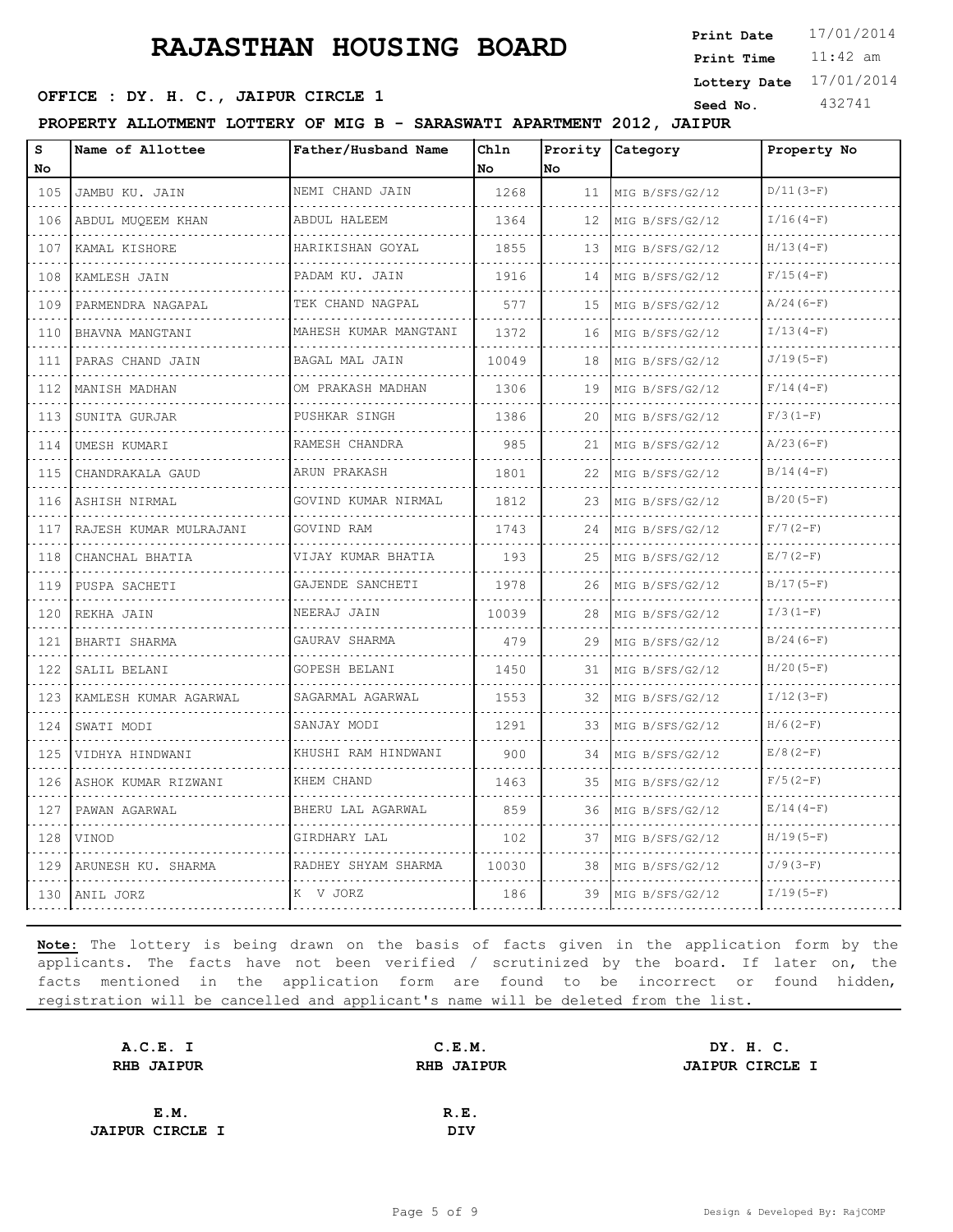11:42 am **Print Time Print Date**  $17/01/2014$ **SEED OFFICE : DY. H. C., JAIPUR CIRCLE 1 Seed No.** 432741 **Lottery Date** 17/01/2014

**PROPERTY ALLOTMENT LOTTERY OF MIG B - SARASWATI APARTMENT 2012, JAIPUR**

| S<br>No.       | Name of Allottee       | Father/Husband Name               | Chln<br>No | Prority<br>No | Category             | Property No |
|----------------|------------------------|-----------------------------------|------------|---------------|----------------------|-------------|
| 105            | JAMBU KU. JAIN         | NEMI CHAND JAIN                   | 1268       | 11            | MIG B/SFS/G2/12      | $D/11(3-F)$ |
| .<br>106       | .<br>ABDUL MUQEEM KHAN | .<br>ABDUL HALEEM                 | 1364       | 12            | .<br>MIG B/SFS/G2/12 | $I/16(4-F)$ |
| 107            | KAMAL KISHORE          | HARIKISHAN GOYAL                  | 1855       | 13            | MIG B/SFS/G2/12      | $H/13(4-F)$ |
| 108            | KAMLESH JAIN           | PADAM KU. JAIN                    | 1916       | 14            | MIG B/SFS/G2/12      | $F/15(4-F)$ |
| .<br>109       | .<br>PARMENDRA NAGAPAL | .<br>TEK CHAND NAGPAL             | 577        | 15            | .<br>MIG B/SFS/G2/12 | $A/24(6-F)$ |
| 110            | BHAVNA MANGTANI        | <u>.</u><br>MAHESH KUMAR MANGTANI | 1372       | 16            | MIG B/SFS/G2/12      | $I/13(4-F)$ |
| 111            | PARAS CHAND JAIN       | BAGAL MAL JAIN<br>.               | 10049      | 18            | MIG B/SFS/G2/12      | $J/19(5-F)$ |
| د د د د<br>112 | MANISH MADHAN<br>.     | OM PRAKASH MADHAN<br>.            | 1306       | 19            | MIG B/SFS/G2/12      | $F/14(4-F)$ |
| 113            | SUNITA GURJAR          | PUSHKAR SINGH                     | 1386       | 20            | MIG B/SFS/G2/12      | $F/3(1-F)$  |
| 114            | UMESH KUMARI           | RAMESH CHANDRA<br>.               | 985        | 21            | MIG B/SFS/G2/12      | $A/23(6-F)$ |
| .<br>115       | CHANDRAKALA GAUD       | ARUN PRAKASH                      | 1801       | 22            | MIG B/SFS/G2/12      | $B/14(4-F)$ |
| 116            | ASHISH NIRMAL          | GOVIND KUMAR NIRMAL               | 1812       | 23            | MIG B/SFS/G2/12      | $B/20(5-F)$ |
| 117            | RAJESH KUMAR MULRAJANI | GOVIND RAM<br>.                   | 1743       | 24            | MIG B/SFS/G2/12      | $F/7(2-F)$  |
| .<br>118       | CHANCHAL BHATIA        | VIJAY KUMAR BHATIA                | 193        | 25            | MIG B/SFS/G2/12      | $E/7(2-F)$  |
| 119            | PUSPA SACHETI          | GAJENDE SANCHETI                  | 1978       | 26            | MIG B/SFS/G2/12      | $B/17(5-F)$ |
| a di di<br>120 | REKHA JAIN             | NEERAJ JAIN                       | 10039      | 28            | MIG B/SFS/G2/12      | $I/3(1-F)$  |
| .<br>121       | BHARTI SHARMA          | GAURAV SHARMA                     | 479        | 29            | MIG B/SFS/G2/12      | $B/24(6-F)$ |
| 122            | SALIL BELANI           | <b>GOPESH BELANI</b>              | 1450       | 31            | MIG B/SFS/G2/12      | $H/20(5-F)$ |
| .<br>123       | KAMLESH KUMAR AGARWAL  | SAGARMAL AGARWAL<br>.             | 1553       | 32            | MIG B/SFS/G2/12      | $I/12(3-F)$ |
| .<br>124       | SWATI MODI             | SANJAY MODI                       | 1291       | 33            | MIG B/SFS/G2/12      | $H/6(2-F)$  |
| 125            | VIDHYA HINDWANI        | KHUSHI RAM HINDWANI               | 900        | 34            | MIG B/SFS/G2/12      | $E/8(2-F)$  |
| .<br>126       | ASHOK KUMAR RIZWANI    | KHEM CHAND                        | 1463       | 35            | MIG B/SFS/G2/12      | $F/5(2-F)$  |
| .<br>127       | PAWAN AGARWAL          | BHERU LAL AGARWAL                 | 859        | 36            | MIG B/SFS/G2/12      | $E/14(4-F)$ |
| 128            | VINOD                  | GIRDHARY LAL                      | 102        | 37            | MIG B/SFS/G2/12      | $H/19(5-F)$ |
| 129            | ARUNESH KU. SHARMA     | RADHEY SHYAM SHARMA               | 10030      | 38            | MIG B/SFS/G2/12      | $J/9(3-F)$  |
|                | 130 ANIL JORZ          | K V JORZ                          | 186        | 39            | MIG B/SFS/G2/12      | $I/19(5-F)$ |

| A.C.E. I               | C.E.M.            | DY. H. C.              |
|------------------------|-------------------|------------------------|
| <b>RHB JAIPUR</b>      | <b>RHB JAIPUR</b> | <b>JAIPUR CIRCLE I</b> |
|                        |                   |                        |
| E.M.                   | R.E.              |                        |
| <b>JAIPUR CIRCLE I</b> | <b>DIV</b>        |                        |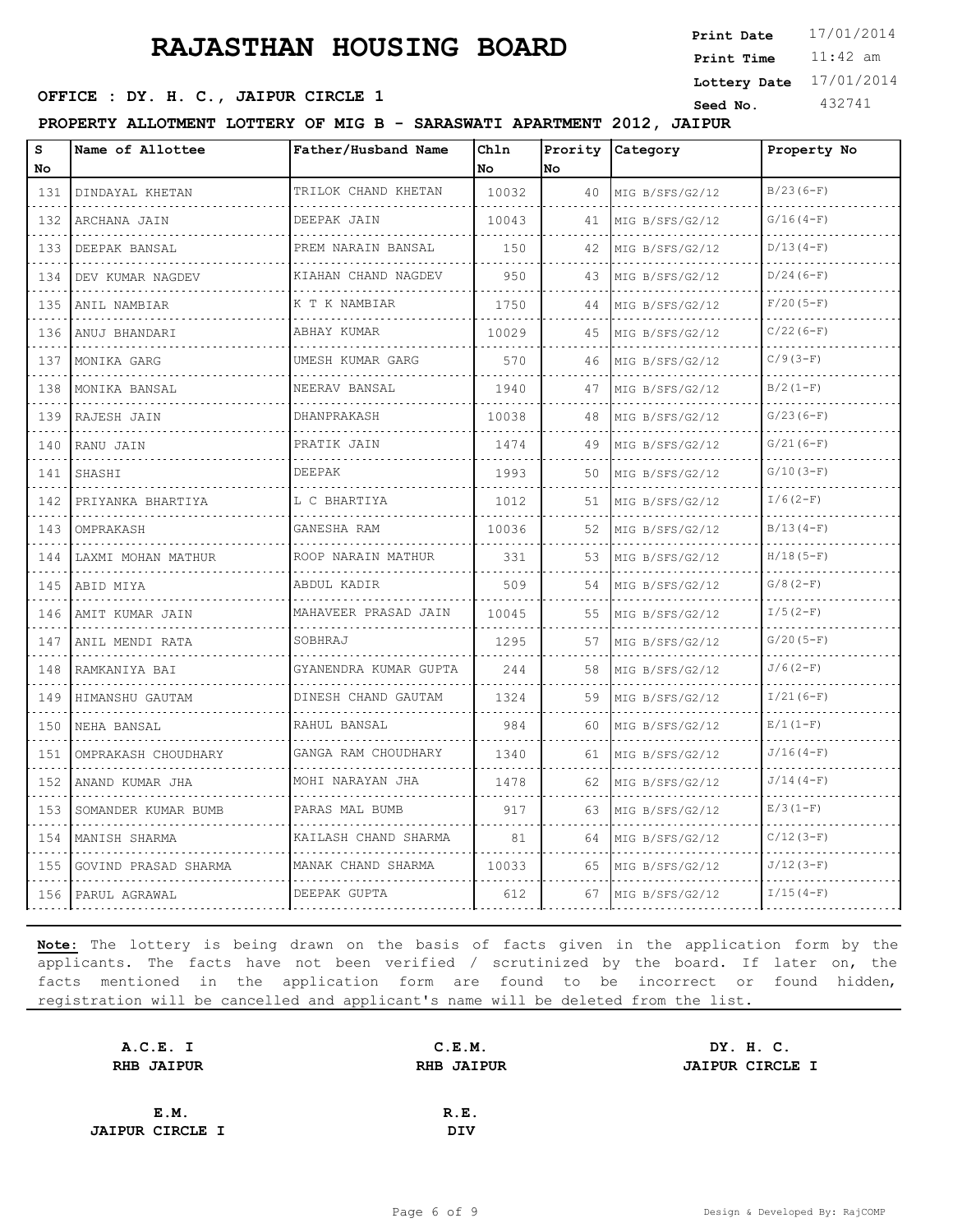11:42 am **Print Time Print Date**  $17/01/2014$ **SEED OFFICE : DY. H. C., JAIPUR CIRCLE 1 Seed No.** 432741 **Lottery Date** 17/01/2014

**PROPERTY ALLOTMENT LOTTERY OF MIG B - SARASWATI APARTMENT 2012, JAIPUR**

| S<br>No  | Name of Allottee     | Father/Husband Name      | Chln<br>No | Prority<br><b>No</b> | <b>Category</b> | Property No |
|----------|----------------------|--------------------------|------------|----------------------|-----------------|-------------|
| 131      | DINDAYAL KHETAN      | TRILOK CHAND KHETAN      | 10032      | 40                   | MIG B/SFS/G2/12 | $B/23(6-F)$ |
| .<br>132 | ARCHANA JAIN         | DEEPAK JAIN              | 10043      | 41                   | MIG B/SFS/G2/12 | $G/16(4-F)$ |
| 133      | DEEPAK BANSAL        | PREM NARAIN BANSAL       | 150        | 42                   | MIG B/SFS/G2/12 | $D/13(4-F)$ |
| 134      | DEV KUMAR NAGDEV     | KIAHAN CHAND NAGDEV<br>. | 950        | 43                   | MIG B/SFS/G2/12 | $D/24(6-F)$ |
| .<br>135 | ANIL NAMBIAR         | K T K NAMBIAR            | 1750       | 44                   | MIG B/SFS/G2/12 | $F/20(5-F)$ |
| 136      | ANUJ BHANDARI        | ABHAY KUMAR              | 10029      | 45                   | MIG B/SFS/G2/12 | $C/22(6-F)$ |
| 137      | MONIKA GARG          | UMESH KUMAR GARG<br>.    | 570        | 46                   | MIG B/SFS/G2/12 | $C/9(3-F)$  |
| .<br>138 | MONIKA BANSAL        | NEERAV BANSAL            | 1940       | 47                   | MIG B/SFS/G2/12 | $B/2(1-F)$  |
| 139      | RAJESH JAIN          | DHANPRAKASH              | 10038      | 48                   | MIG B/SFS/G2/12 | $G/23(6-F)$ |
| 140      | RANU JAIN            | PRATIK JAIN              | 1474       | 49                   | MIG B/SFS/G2/12 | $G/21(6-F)$ |
| 141      | SHASHI               | DEEPAK                   | 1993       | 50                   | MIG B/SFS/G2/12 | $G/10(3-F)$ |
| 142      | PRIYANKA BHARTIYA    | L C BHARTIYA             | 1012       | 51                   | MIG B/SFS/G2/12 | $I/6(2-F)$  |
| 143      | OMPRAKASH            | GANESHA RAM              | 10036      | 52                   | MIG B/SFS/G2/12 | $B/13(4-F)$ |
| .<br>144 | LAXMI MOHAN MATHUR   | ROOP NARAIN MATHUR       | 331        | 53                   | MIG B/SFS/G2/12 | $H/18(5-F)$ |
| 145      | ABID MIYA            | ABDUL KADIR              | 509        | 54                   | MIG B/SFS/G2/12 | $G/8(2-F)$  |
| 146      | AMIT KUMAR JAIN      | MAHAVEER PRASAD JAIN     | 10045      | 55                   | MIG B/SFS/G2/12 | $I/5(2-F)$  |
| .<br>147 | ANIL MENDI RATA      | SOBHRAJ                  | 1295       | 57                   | MIG B/SFS/G2/12 | $G/20(5-F)$ |
| 148      | RAMKANIYA BAI        | GYANENDRA KUMAR GUPTA    | 244        | 58                   | MIG B/SFS/G2/12 | $J/6(2-F)$  |
| 149      | HIMANSHU GAUTAM      | DINESH CHAND GAUTAM<br>. | 1324       | 59                   | MIG B/SFS/G2/12 | $I/21(6-F)$ |
| .<br>150 | NEHA BANSAL          | RAHUL BANSAL             | 984        | 60                   | MIG B/SFS/G2/12 | $E/1(1-F)$  |
| 151      | OMPRAKASH CHOUDHARY  | GANGA RAM CHOUDHARY<br>. | 1340       | 61                   | MIG B/SFS/G2/12 | $J/16(4-F)$ |
| 152      | ANAND KUMAR JHA      | MOHI NARAYAN JHA         | 1478       | 62                   | MIG B/SFS/G2/12 | $J/14(4-F)$ |
| 153      | SOMANDER KUMAR BUMB  | PARAS MAL BUMB           | 917        | 63                   | MIG B/SFS/G2/12 | $E/3(1-F)$  |
| 154      | MANISH SHARMA        | KAILASH CHAND SHARMA     | 81         | 64                   | MIG B/SFS/G2/12 | $C/12(3-F)$ |
| 155      | GOVIND PRASAD SHARMA | MANAK CHAND SHARMA       | 10033      | 65                   | MIG B/SFS/G2/12 | $J/12(3-F)$ |
| 156      | PARUL AGRAWAL        | DEEPAK GUPTA             | 612        | 67                   | MIG B/SFS/G2/12 | $I/15(4-F)$ |

| A.C.E. I               | C.E.M.            | DY. H. C.              |
|------------------------|-------------------|------------------------|
| <b>RHB JAIPUR</b>      | <b>RHB JAIPUR</b> | <b>JAIPUR CIRCLE I</b> |
|                        |                   |                        |
| E.M.                   | R.E.              |                        |
| <b>JAIPUR CIRCLE I</b> | <b>DIV</b>        |                        |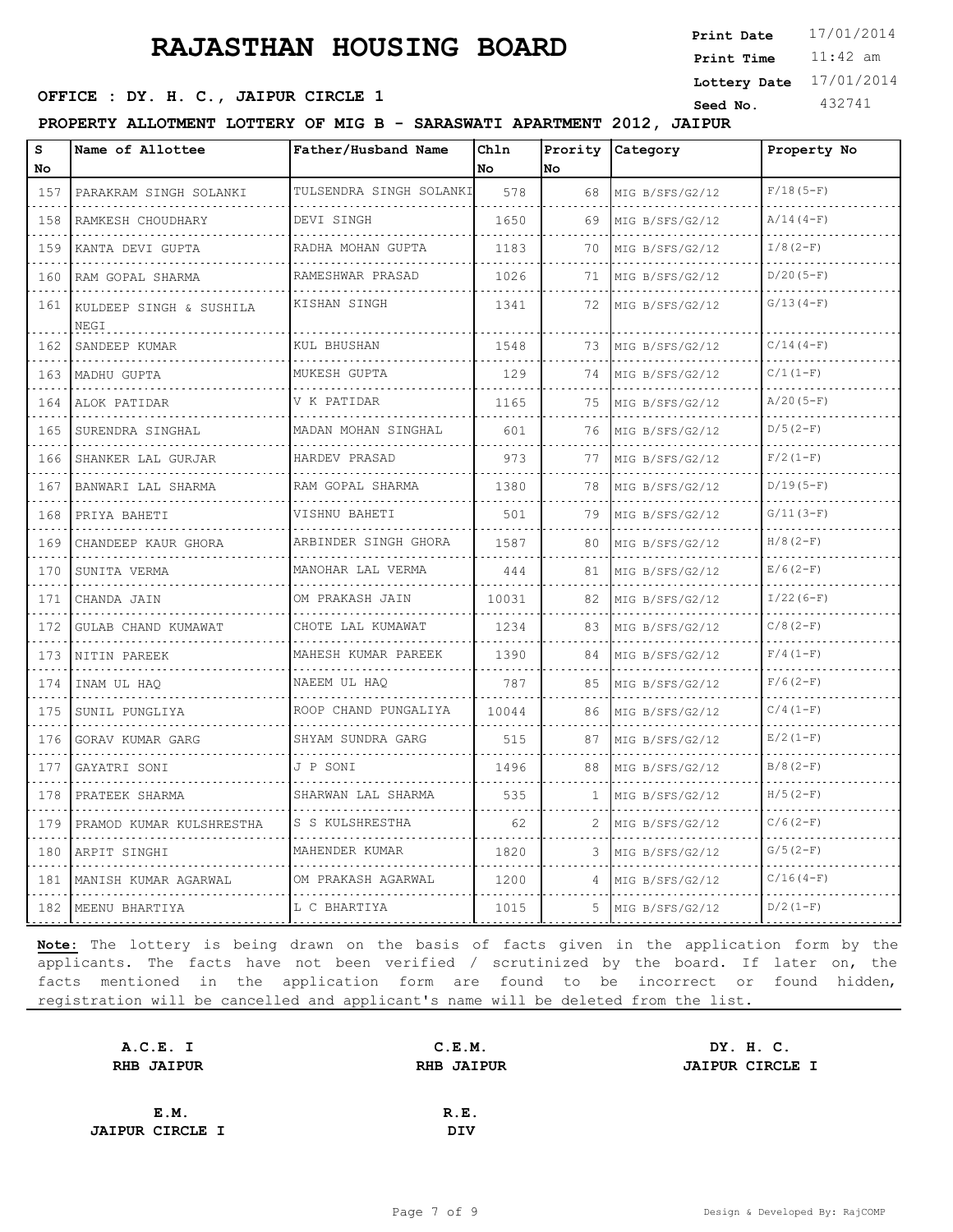11:42 am **Print Time Print Date**  $17/01/2014$ **SEED OFFICE : DY. H. C., JAIPUR CIRCLE 1 Seed No.** 432741 **Lottery Date** 17/01/2014

**PROPERTY ALLOTMENT LOTTERY OF MIG B - SARASWATI APARTMENT 2012, JAIPUR**

| s<br>No       | Name of Allottee                | Father/Husband Name       | Chln<br>No | Prority<br>No | Category             | Property No |
|---------------|---------------------------------|---------------------------|------------|---------------|----------------------|-------------|
| 157           | PARAKRAM SINGH SOLANKI          | TULSENDRA SINGH SOLANKI   | 578        | 68            | MIG B/SFS/G2/12      | $F/18(5-F)$ |
| 158           | .<br>RAMKESH CHOUDHARY          | DEVI SINGH                | 1650       | 69            | MIG B/SFS/G2/12      | $A/14(4-F)$ |
| 159           | KANTA DEVI GUPTA                | RADHA MOHAN GUPTA         | 1183       | 70            | MIG B/SFS/G2/12      | $I/8(2-F)$  |
| 160           | RAM GOPAL SHARMA                | RAMESHWAR PRASAD          | 1026       | 71            | MIG B/SFS/G2/12      | $D/20(5-F)$ |
| .<br>161      | KULDEEP SINGH & SUSHILA<br>NEGI | KISHAN SINGH              | 1341       | 72            | MIG B/SFS/G2/12      | $G/13(4-F)$ |
| 162           | SANDEEP KUMAR                   | KUL BHUSHAN               | 1548       | 73            | MIG B/SFS/G2/12      | $C/14(4-F)$ |
| 163<br>.      | MADHU GUPTA                     | MUKESH GUPTA              | 129        | 74            | MIG B/SFS/G2/12      | $C/1 (1-F)$ |
| 164           | ALOK PATIDAR                    | V K PATIDAR               | 1165       | 75            | MIG B/SFS/G2/12      | $A/20(5-F)$ |
| 165<br>.      | SURENDRA SINGHAL                | MADAN MOHAN SINGHAL       | 601        | 76            | MIG B/SFS/G2/12<br>. | $D/5(2-F)$  |
| 166           | SHANKER LAL GURJAR              | HARDEV PRASAD             | 973        | 77            | MIG B/SFS/G2/12      | $F/2(1-F)$  |
| 167           | BANWARI LAL SHARMA              | RAM GOPAL SHARMA          | 1380       | 78            | MIG B/SFS/G2/12      | $D/19(5-F)$ |
| 168           | PRIYA BAHETI                    | VISHNU BAHETI             | 501        | 79            | MIG B/SFS/G2/12      | $G/11(3-F)$ |
| .<br>169      | CHANDEEP KAUR GHORA             | ARBINDER SINGH GHORA<br>. | 1587       | 80            | MIG B/SFS/G2/12      | $H/8(2-F)$  |
| 170           | SUNITA VERMA                    | MANOHAR LAL VERMA         | 444        | 81            | MIG B/SFS/G2/12      | $E/6(2-F)$  |
| 171<br>.      | CHANDA JAIN<br>.                | OM PRAKASH JAIN<br>.      | 10031      | 82            | MIG B/SFS/G2/12      | $I/22(6-F)$ |
| 172           | GULAB CHAND KUMAWAT             | CHOTE LAL KUMAWAT         | 1234       | 83            | MIG B/SFS/G2/12      | $C/8(2-F)$  |
| 173           | NITIN PAREEK                    | MAHESH KUMAR PAREEK<br>.  | 1390       | 84            | MIG B/SFS/G2/12      | $F/4(1-F)$  |
| 174           | INAM UL HAO                     | NAEEM UL HAO              | 787        | 85            | MIG B/SFS/G2/12      | $F/6(2-F)$  |
| .<br>175<br>. | SUNIL PUNGLIYA                  | ROOP CHAND PUNGALIYA      | 10044      | 86            | MIG B/SFS/G2/12      | $C/4(1-F)$  |
| 176           | GORAV KUMAR GARG                | SHYAM SUNDRA GARG         | 515        | 87            | MIG B/SFS/G2/12      | $E/2(1-F)$  |
| .<br>177      | GAYATRI SONI                    | J P SONI                  | 1496       | 88            | MIG B/SFS/G2/12      | $B/8(2-F)$  |
| 178           | PRATEEK SHARMA                  | SHARWAN LAL SHARMA        | 535        | 1             | MIG B/SFS/G2/12      | $H/5(2-F)$  |
| 179           | PRAMOD KUMAR KULSHRESTHA        | S S KULSHRESTHA           | 62         | 2             | MIG B/SFS/G2/12      | $C/6(2-F)$  |
| 180           | ARPIT SINGHI                    | MAHENDER KUMAR            | 1820       | 3             | MIG B/SFS/G2/12      | $G/5(2-F)$  |
| 181           | MANISH KUMAR AGARWAL            | OM PRAKASH AGARWAL        | 1200       | 4             | MIG B/SFS/G2/12      | $C/16(4-F)$ |
| 182           | MEENU BHARTIYA                  | L C BHARTIYA              | 1015       | 5             | MIG B/SFS/G2/12      | $D/2 (1-F)$ |

| A.C.E. I               | C.E.M.            | DY. H. C.              |  |
|------------------------|-------------------|------------------------|--|
| <b>RHB JAIPUR</b>      | <b>RHB JAIPUR</b> | <b>JAIPUR CIRCLE I</b> |  |
|                        |                   |                        |  |
| E.M.                   | R.E.              |                        |  |
| <b>JAIPUR CIRCLE I</b> | DIV               |                        |  |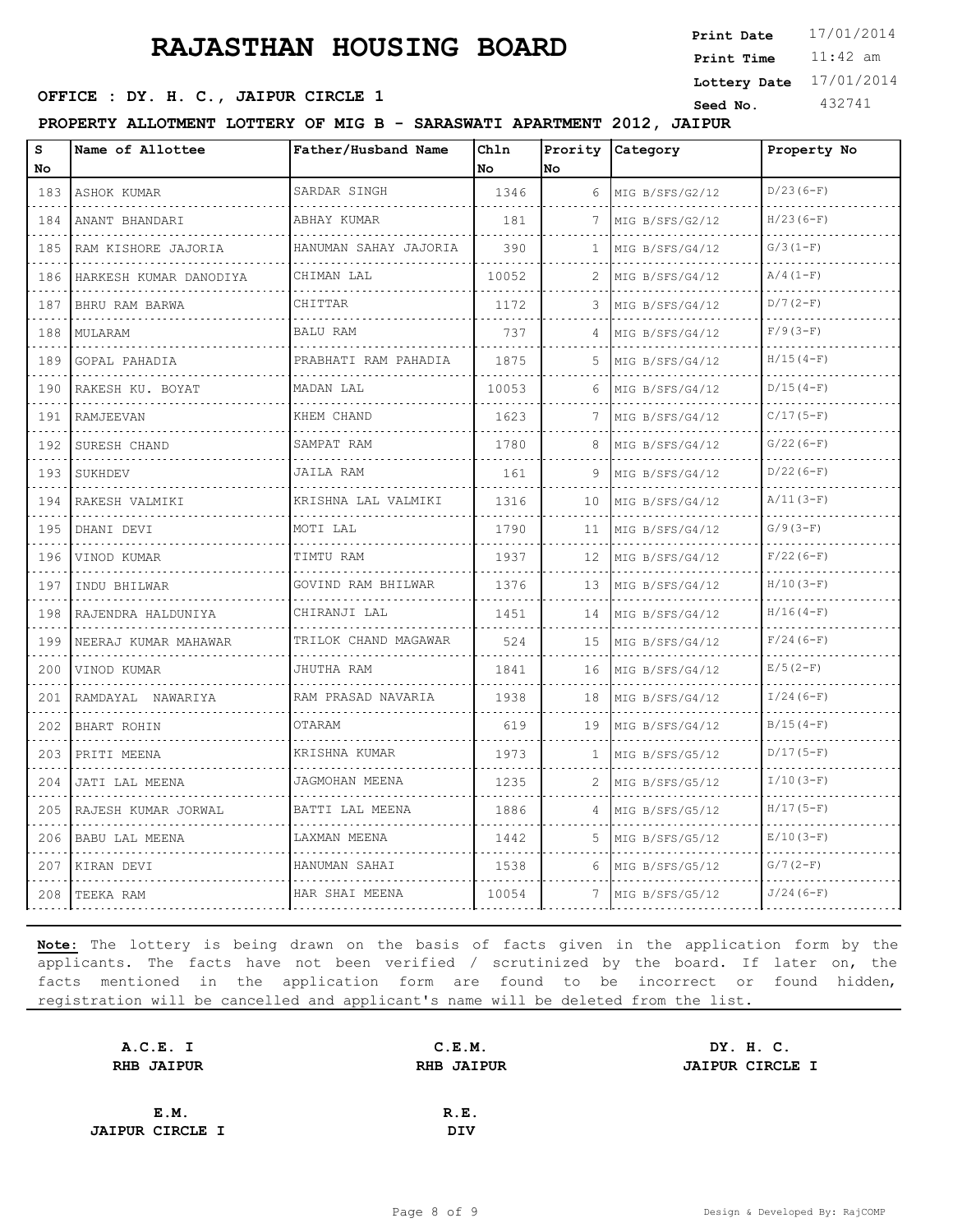11:42 am **Print Time Print Date SEED OFFICE : DY. H. C., JAIPUR CIRCLE 1 Seed No.** 432741 **Lottery Date** 17/01/2014

**PROPERTY ALLOTMENT LOTTERY OF MIG B - SARASWATI APARTMENT 2012, JAIPUR**

| S<br>No        | Name of Allottee       | Father/Husband Name               | Ch1n<br>No | Prority<br><b>No</b> | Category             | Property No |
|----------------|------------------------|-----------------------------------|------------|----------------------|----------------------|-------------|
| 183            | <b>ASHOK KUMAR</b>     | SARDAR SINGH                      | 1346       | 6                    | MIG B/SFS/G2/12      | $D/23(6-F)$ |
| .<br>184       | .<br>ANANT BHANDARI    | de de de de de dec<br>ABHAY KUMAR | 181        | 7                    | .<br>MIG B/SFS/G2/12 | $H/23(6-F)$ |
| 185            | RAM KISHORE JAJORIA    | HANUMAN SAHAY JAJORIA             | 390        | 1                    | MIG B/SFS/G4/12      | $G/3(1-F)$  |
| 186            | HARKESH KUMAR DANODIYA | CHIMAN LAL                        | 10052      | 2                    | MIG B/SFS/G4/12      | $A/4(1-F)$  |
| 187            | BHRU RAM BARWA         | CHITTAR                           | 1172       | 3                    | MIG B/SFS/G4/12      | $D/7 (2-F)$ |
| 188            | MULARAM                | <b>BALU RAM</b>                   | 737        | 4                    | MIG B/SFS/G4/12      | $F/9(3-F)$  |
| 189            | GOPAL PAHADIA<br>.     | PRABHATI RAM PAHADIA              | 1875       | 5                    | MIG B/SFS/G4/12      | $H/15(4-F)$ |
| د د د د<br>190 | RAKESH KU. BOYAT       | MADAN LAL                         | 10053      | 6                    | .<br>MIG B/SFS/G4/12 | $D/15(4-F)$ |
| 191            | RAMJEEVAN              | KHEM CHAND                        | 1623       | 7                    | MIG B/SFS/G4/12      | $C/17(5-F)$ |
| 192            | SURESH CHAND           | SAMPAT RAM<br>.                   | 1780       | 8                    | MIG B/SFS/G4/12      | $G/22(6-F)$ |
| 193            | SUKHDEV                | JAILA RAM                         | 161        | 9                    | MIG B/SFS/G4/12      | $D/22(6-F)$ |
| 194            | RAKESH VALMIKI         | KRISHNA LAL VALMIKI               | 1316       | 10                   | MIG B/SFS/G4/12      | $A/11(3-F)$ |
| 195            | DHANI DEVI             | MOTI LAL                          | 1790       | 11                   | MIG B/SFS/G4/12<br>. | $G/9(3-F)$  |
| .<br>196       | VINOD KUMAR            | TIMTU RAM                         | 1937       | 12                   | MIG B/SFS/G4/12      | $F/22(6-F)$ |
| 197            | INDU BHILWAR           | GOVIND RAM BHILWAR                | 1376       | 13                   | MIG B/SFS/G4/12      | $H/10(3-F)$ |
| .<br>198       | RAJENDRA HALDUNIYA     | CHIRANJI LAL<br>.                 | 1451       | 14                   | MIG B/SFS/G4/12      | $H/16(4-F)$ |
| 199            | NEERAJ KUMAR MAHAWAR   | TRILOK CHAND MAGAWAR              | 524        | 15                   | MIG B/SFS/G4/12      | $F/24(6-F)$ |
| 200            | VINOD KUMAR            | JHUTHA RAM                        | 1841       | 16                   | MIG B/SFS/G4/12      | $E/5(2-F)$  |
| 201            | RAMDAYAL NAWARIYA      | RAM PRASAD NAVARIA                | 1938       | 18                   | MIG B/SFS/G4/12      | $I/24(6-F)$ |
| 202            | BHART ROHIN            | OTARAM                            | 619        | 19                   | MIG B/SFS/G4/12      | $B/15(4-F)$ |
| 203            | PRITI MEENA            | KRISHNA KUMAR                     | 1973       | 1                    | MIG B/SFS/G5/12      | $D/17(5-F)$ |
| 204            | JATI LAL MEENA         | JAGMOHAN MEENA                    | 1235       | 2                    | MIG B/SFS/G5/12      | $I/10(3-F)$ |
| 205            | RAJESH KUMAR JORWAL    | BATTI LAL MEENA                   | 1886       | 4                    | MIG B/SFS/G5/12      | $H/17(5-F)$ |
| 206            | <b>BABU LAL MEENA</b>  | LAXMAN MEENA                      | 1442       | 5                    | MIG B/SFS/G5/12      | $E/10(3-F)$ |
| 207            | KIRAN DEVI             | HANUMAN SAHAI                     | 1538       | 6                    | MIG B/SFS/G5/12      | $G/7 (2-F)$ |
| 208            | TEEKA RAM              | HAR SHAI MEENA                    | 10054      |                      | MIG B/SFS/G5/12      | $J/24(6-F)$ |

| A.C.E. I               | C.E.M.            | DY. H. C.              |
|------------------------|-------------------|------------------------|
| <b>RHB JAIPUR</b>      | <b>RHB JAIPUR</b> | <b>JAIPUR CIRCLE I</b> |
|                        |                   |                        |
| E.M.                   | R.E.              |                        |
| <b>JAIPUR CIRCLE I</b> | <b>DIV</b>        |                        |